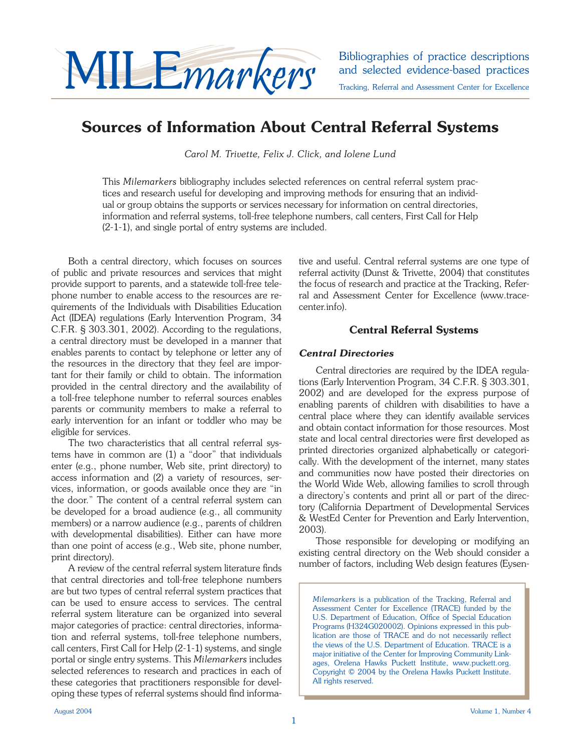

and selected evidence-based practices Tracking, Referral and Assessment Center for Excellence

## **Sources of Information About Central Referral Systems**

*Carol M. Trivette, Felix J. Click, and Iolene Lund*

This *Milemarkers* bibliography includes selected references on central referral system practices and research useful for developing and improving methods for ensuring that an individual or group obtains the supports or services necessary for information on central directories, information and referral systems, toll-free telephone numbers, call centers, First Call for Help (2-1-1), and single portal of entry systems are included.

Both a central directory, which focuses on sources of public and private resources and services that might provide support to parents, and a statewide toll-free telephone number to enable access to the resources are requirements of the Individuals with Disabilities Education Act (IDEA) regulations (Early Intervention Program, 34 C.F.R. § 303.301, 2002). According to the regulations, a central directory must be developed in a manner that enables parents to contact by telephone or letter any of the resources in the directory that they feel are important for their family or child to obtain. The information provided in the central directory and the availability of a toll-free telephone number to referral sources enables parents or community members to make a referral to early intervention for an infant or toddler who may be eligible for services.

 The two characteristics that all central referral systems have in common are (1) a "door" that individuals enter (e.g., phone number, Web site, print directory) to access information and (2) a variety of resources, services, information, or goods available once they are "in the door." The content of a central referral system can be developed for a broad audience (e.g., all community members) or a narrow audience (e.g., parents of children with developmental disabilities). Either can have more than one point of access (e.g., Web site, phone number, print directory).

A review of the central referral system literature finds that central directories and toll-free telephone numbers are but two types of central referral system practices that can be used to ensure access to services. The central referral system literature can be organized into several major categories of practice: central directories, information and referral systems, toll-free telephone numbers, call centers, First Call for Help (2-1-1) systems, and single portal or single entry systems. This *Milemarkers* includes selected references to research and practices in each of these categories that practitioners responsible for developing these types of referral systems should find informative and useful. Central referral systems are one type of referral activity (Dunst & Trivette, 2004) that constitutes the focus of research and practice at the Tracking, Referral and Assessment Center for Excellence (www.tracecenter.info).

## **Central Referral Systems**

### *Central Directories*

Central directories are required by the IDEA regulations (Early Intervention Program, 34 C.F.R. § 303.301, 2002) and are developed for the express purpose of enabling parents of children with disabilities to have a central place where they can identify available services and obtain contact information for those resources. Most state and local central directories were first developed as printed directories organized alphabetically or categorically. With the development of the internet, many states and communities now have posted their directories on the World Wide Web, allowing families to scroll through a directory's contents and print all or part of the directory (California Department of Developmental Services & WestEd Center for Prevention and Early Intervention, 2003).

Those responsible for developing or modifying an existing central directory on the Web should consider a number of factors, including Web design features (Eysen-

*Milemarkers* is a publication of the Tracking, Referral and Assessment Center for Excellence (TRACE) funded by the U.S. Department of Education, Office of Special Education Programs (H324G020002). Opinions expressed in this publication are those of TRACE and do not necessarily reflect the views of the U.S. Department of Education. TRACE is a major initiative of the Center for Improving Community Linkages, Orelena Hawks Puckett Institute, www.puckett.org. Copyright © 2004 by the Orelena Hawks Puckett Institute. All rights reserved.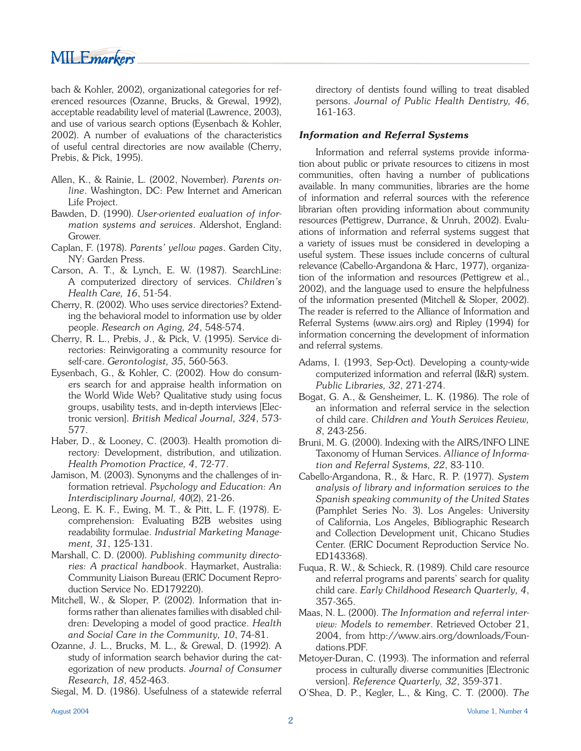# MILEmarkers

bach & Kohler, 2002), organizational categories for referenced resources (Ozanne, Brucks, & Grewal, 1992), acceptable readability level of material (Lawrence, 2003), and use of various search options (Eysenbach & Kohler, 2002). A number of evaluations of the characteristics of useful central directories are now available (Cherry, Prebis, & Pick, 1995).

- Allen, K., & Rainie, L. (2002, November). *Parents online*. Washington, DC: Pew Internet and American Life Project.
- Bawden, D. (1990). *User-oriented evaluation of information systems and services*. Aldershot, England: Grower.
- Caplan, F. (1978). *Parents' yellow pages*. Garden City, NY: Garden Press.
- Carson, A. T., & Lynch, E. W. (1987). SearchLine: A computerized directory of services. *Children's Health Care, 16*, 51-54.
- Cherry, R. (2002). Who uses service directories? Extending the behavioral model to information use by older people. *Research on Aging, 24*, 548-574.
- Cherry, R. L., Prebis, J., & Pick, V. (1995). Service directories: Reinvigorating a community resource for self-care. *Gerontologist, 35*, 560-563.
- Eysenbach, G., & Kohler, C. (2002). How do consumers search for and appraise health information on the World Wide Web? Qualitative study using focus groups, usability tests, and in-depth interviews [Electronic version]. *British Medical Journal, 324*, 573- 577.
- Haber, D., & Looney, C. (2003). Health promotion directory: Development, distribution, and utilization. *Health Promotion Practice, 4*, 72-77.
- Jamison, M. (2003). Synonyms and the challenges of information retrieval. *Psychology and Education: An Interdisciplinary Journal, 40*(2), 21-26.
- Leong, E. K. F., Ewing, M. T., & Pitt, L. F. (1978). Ecomprehension: Evaluating B2B websites using readability formulae. *Industrial Marketing Management, 31*, 125-131.
- Marshall, C. D. (2000). *Publishing community directories: A practical handbook*. Haymarket, Australia: Community Liaison Bureau (ERIC Document Reproduction Service No. ED179220).
- Mitchell, W., & Sloper, P. (2002). Information that informs rather than alienates families with disabled children: Developing a model of good practice. *Health and Social Care in the Community, 10*, 74-81.
- Ozanne, J. L., Brucks, M. L., & Grewal, D. (1992). A study of information search behavior during the categorization of new products. *Journal of Consumer Research, 18*, 452-463.

Siegal, M. D. (1986). Usefulness of a statewide referral

directory of dentists found willing to treat disabled persons. *Journal of Public Health Dentistry, 46*, 161-163.

### *Information and Referral Systems*

 Information and referral systems provide information about public or private resources to citizens in most communities, often having a number of publications available. In many communities, libraries are the home of information and referral sources with the reference librarian often providing information about community resources (Pettigrew, Durrance, & Unruh, 2002). Evaluations of information and referral systems suggest that a variety of issues must be considered in developing a useful system. These issues include concerns of cultural relevance (Cabello-Argandona & Harc, 1977), organization of the information and resources (Pettigrew et al., 2002), and the language used to ensure the helpfulness of the information presented (Mitchell & Sloper, 2002). The reader is referred to the Alliance of Information and Referral Systems (www.airs.org) and Ripley (1994) for information concerning the development of information and referral systems.

- Adams, I. (1993, Sep-Oct). Developing a county-wide computerized information and referral (I&R) system. *Public Libraries, 32*, 271-274.
- Bogat, G. A., & Gensheimer, L. K. (1986). The role of an information and referral service in the selection of child care. *Children and Youth Services Review, 8*, 243-256.
- Bruni, M. G. (2000). Indexing with the AIRS/INFO LINE Taxonomy of Human Services. *Alliance of Information and Referral Systems, 22*, 83-110.
- Cabello-Argandona, R., & Harc, R. P. (1977). *System analysis of library and information services to the Spanish speaking community of the United States*  (Pamphlet Series No. 3). Los Angeles: University of California, Los Angeles, Bibliographic Research and Collection Development unit, Chicano Studies Center. (ERIC Document Reproduction Service No. ED143368).
- Fuqua, R. W., & Schieck, R. (1989). Child care resource and referral programs and parents' search for quality child care. *Early Childhood Research Quarterly, 4*, 357-365.
- Maas, N. L. (2000). *The Information and referral interview: Models to remember*. Retrieved October 21, 2004, from http://www.airs.org/downloads/Foundations.PDF.
- Metoyer-Duran, C. (1993). The information and referral process in culturally diverse communities [Electronic version]. *Reference Quarterly, 32*, 359-371.
- O'Shea, D. P., Kegler, L., & King, C. T. (2000). *The*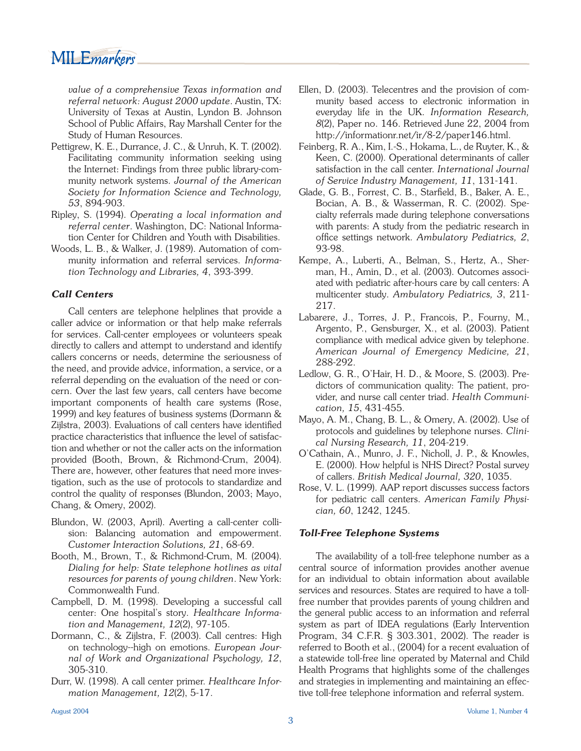*value of a comprehensive Texas information and referral network: August 2000 update*. Austin, TX: University of Texas at Austin, Lyndon B. Johnson School of Public Affairs, Ray Marshall Center for the Study of Human Resources.

- Pettigrew, K. E., Durrance, J. C., & Unruh, K. T. (2002). Facilitating community information seeking using the Internet: Findings from three public library-community network systems. *Journal of the American Society for Information Science and Technology, 53*, 894-903.
- Ripley, S. (1994). *Operating a local information and referral center*. Washington, DC: National Information Center for Children and Youth with Disabilities.
- Woods, L. B., & Walker, J. (1989). Automation of community information and referral services. *Information Technology and Libraries, 4*, 393-399.

### *Call Centers*

Call centers are telephone helplines that provide a caller advice or information or that help make referrals for services. Call-center employees or volunteers speak directly to callers and attempt to understand and identify callers concerns or needs, determine the seriousness of the need, and provide advice, information, a service, or a referral depending on the evaluation of the need or concern. Over the last few years, call centers have become important components of health care systems (Rose, 1999) and key features of business systems (Dormann & Zijlstra, 2003). Evaluations of call centers have identified practice characteristics that influence the level of satisfaction and whether or not the caller acts on the information provided (Booth, Brown, & Richmond-Crum, 2004). There are, however, other features that need more investigation, such as the use of protocols to standardize and control the quality of responses (Blundon, 2003; Mayo, Chang, & Omery, 2002).

- Blundon, W. (2003, April). Averting a call-center collision: Balancing automation and empowerment. *Customer Interaction Solutions, 21*, 68-69.
- Booth, M., Brown, T., & Richmond-Crum, M. (2004). *Dialing for help: State telephone hotlines as vital resources for parents of young children*. New York: Commonwealth Fund.
- Campbell, D. M. (1998). Developing a successful call center: One hospital's story. *Healthcare Information and Management, 12*(2), 97-105.
- Dormann, C., & Zijlstra, F. (2003). Call centres: High on technology--high on emotions. *European Journal of Work and Organizational Psychology, 12*, 305-310.
- Durr, W. (1998). A call center primer. *Healthcare Information Management, 12*(2), 5-17.
- Ellen, D. (2003). Telecentres and the provision of community based access to electronic information in everyday life in the UK. *Information Research, 8*(2), Paper no. 146. Retrieved June 22, 2004 from http://informationr.net/ir/8-2/paper146.html.
- Feinberg, R. A., Kim, I.-S., Hokama, L., de Ruyter, K., & Keen, C. (2000). Operational determinants of caller satisfaction in the call center. *International Journal of Service Industry Management, 11*, 131-141.
- Glade, G. B., Forrest, C. B., Starfield, B., Baker, A. E., Bocian, A. B., & Wasserman, R. C. (2002). Specialty referrals made during telephone conversations with parents: A study from the pediatric research in office settings network. Ambulatory Pediatrics, 2, 93-98.
- Kempe, A., Luberti, A., Belman, S., Hertz, A., Sherman, H., Amin, D., et al. (2003). Outcomes associated with pediatric after-hours care by call centers: A multicenter study. *Ambulatory Pediatrics, 3*, 211- 217.
- Labarere, J., Torres, J. P., Francois, P., Fourny, M., Argento, P., Gensburger, X., et al. (2003). Patient compliance with medical advice given by telephone. *American Journal of Emergency Medicine, 21*, 288-292.
- Ledlow, G. R., O'Hair, H. D., & Moore, S. (2003). Predictors of communication quality: The patient, provider, and nurse call center triad. *Health Communication, 15*, 431-455.
- Mayo, A. M., Chang, B. L., & Omery, A. (2002). Use of protocols and guidelines by telephone nurses. *Clinical Nursing Research, 11*, 204-219.
- O'Cathain, A., Munro, J. F., Nicholl, J. P., & Knowles, E. (2000). How helpful is NHS Direct? Postal survey of callers. *British Medical Journal, 320*, 1035.
- Rose, V. L. (1999). AAP report discusses success factors for pediatric call centers. *American Family Physician, 60*, 1242, 1245.

### *Toll-Free Telephone Systems*

 The availability of a toll-free telephone number as a central source of information provides another avenue for an individual to obtain information about available services and resources. States are required to have a tollfree number that provides parents of young children and the general public access to an information and referral system as part of IDEA regulations (Early Intervention Program, 34 C.F.R. § 303.301, 2002). The reader is referred to Booth et al., (2004) for a recent evaluation of a statewide toll-free line operated by Maternal and Child Health Programs that highlights some of the challenges and strategies in implementing and maintaining an effective toll-free telephone information and referral system.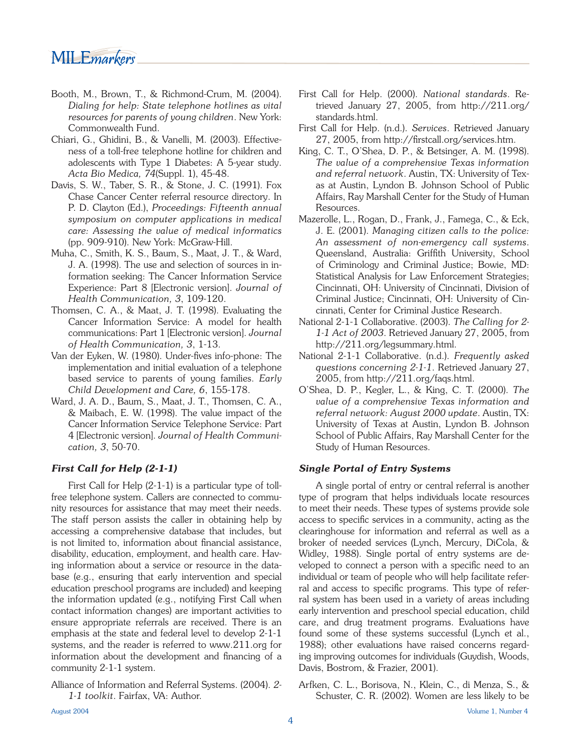## MILE*markers*

- Booth, M., Brown, T., & Richmond-Crum, M. (2004). *Dialing for help: State telephone hotlines as vital resources for parents of young children*. New York: Commonwealth Fund.
- Chiari, G., Ghidini, B., & Vanelli, M. (2003). Effectiveness of a toll-free telephone hotline for children and adolescents with Type 1 Diabetes: A 5-year study. *Acta Bio Medica, 74*(Suppl. 1), 45-48.
- Davis, S. W., Taber, S. R., & Stone, J. C. (1991). Fox Chase Cancer Center referral resource directory. In P. D. Clayton (Ed.), *Proceedings: Fifteenth annual symposium on computer applications in medical care: Assessing the value of medical informatics* (pp. 909-910). New York: McGraw-Hill.
- Muha, C., Smith, K. S., Baum, S., Maat, J. T., & Ward, J. A. (1998). The use and selection of sources in information seeking: The Cancer Information Service Experience: Part 8 [Electronic version]. *Journal of Health Communication, 3*, 109-120.
- Thomsen, C. A., & Maat, J. T. (1998). Evaluating the Cancer Information Service: A model for health communications: Part 1 [Electronic version]. *Journal of Health Communication, 3*, 1-13.
- Van der Eyken, W. (1980). Under-fives info-phone: The implementation and initial evaluation of a telephone based service to parents of young families. *Early Child Development and Care, 6*, 155-178.
- Ward, J. A. D., Baum, S., Maat, J. T., Thomsen, C. A., & Maibach, E. W. (1998). The value impact of the Cancer Information Service Telephone Service: Part 4 [Electronic version]. *Journal of Health Communication, 3*, 50-70.

### *First Call for Help (2-1-1)*

First Call for Help (2-1-1) is a particular type of tollfree telephone system. Callers are connected to community resources for assistance that may meet their needs. The staff person assists the caller in obtaining help by accessing a comprehensive database that includes, but is not limited to, information about financial assistance, disability, education, employment, and health care. Having information about a service or resource in the database (e.g., ensuring that early intervention and special education preschool programs are included) and keeping the information updated (e.g., notifying First Call when contact information changes) are important activities to ensure appropriate referrals are received. There is an emphasis at the state and federal level to develop 2-1-1 systems, and the reader is referred to www.211.org for information about the development and financing of a community 2-1-1 system.

Alliance of Information and Referral Systems. (2004). *2- 1-1 toolkit*. Fairfax, VA: Author.

- First Call for Help. (2000). *National standards*. Retrieved January 27, 2005, from http://211.org/ standards.html.
- First Call for Help. (n.d.). *Services*. Retrieved January 27, 2005, from http://firstcall.org/services.htm.
- King, C. T., O'Shea, D. P., & Betsinger, A. M. (1998). *The value of a comprehensive Texas information and referral network*. Austin, TX: University of Texas at Austin, Lyndon B. Johnson School of Public Affairs, Ray Marshall Center for the Study of Human Resources.
- Mazerolle, L., Rogan, D., Frank, J., Famega, C., & Eck, J. E. (2001). *Managing citizen calls to the police: An assessment of non-emergency call systems*. Queensland, Australia: Griffith University, School of Criminology and Criminal Justice; Bowie, MD: Statistical Analysis for Law Enforcement Strategies; Cincinnati, OH: University of Cincinnati, Division of Criminal Justice; Cincinnati, OH: University of Cincinnati, Center for Criminal Justice Research.
- National 2-1-1 Collaborative. (2003). *The Calling for 2- 1-1 Act of 2003*. Retrieved January 27, 2005, from http://211.org/legsummary.html.
- National 2-1-1 Collaborative. (n.d.). *Frequently asked questions concerning 2-1-1*. Retrieved January 27, 2005, from http://211.org/faqs.html.
- O'Shea, D. P., Kegler, L., & King, C. T. (2000). *The value of a comprehensive Texas information and referral network: August 2000 update*. Austin, TX: University of Texas at Austin, Lyndon B. Johnson School of Public Affairs, Ray Marshall Center for the Study of Human Resources.

#### *Single Portal of Entry Systems*

 A single portal of entry or central referral is another type of program that helps individuals locate resources to meet their needs. These types of systems provide sole access to specific services in a community, acting as the clearinghouse for information and referral as well as a broker of needed services (Lynch, Mercury, DiCola, & Widley, 1988). Single portal of entry systems are developed to connect a person with a specific need to an individual or team of people who will help facilitate referral and access to specific programs. This type of referral system has been used in a variety of areas including early intervention and preschool special education, child care, and drug treatment programs. Evaluations have found some of these systems successful (Lynch et al., 1988); other evaluations have raised concerns regarding improving outcomes for individuals (Guydish, Woods, Davis, Bostrom, & Frazier, 2001).

Arfken, C. L., Borisova, N., Klein, C., di Menza, S., & Schuster, C. R. (2002). Women are less likely to be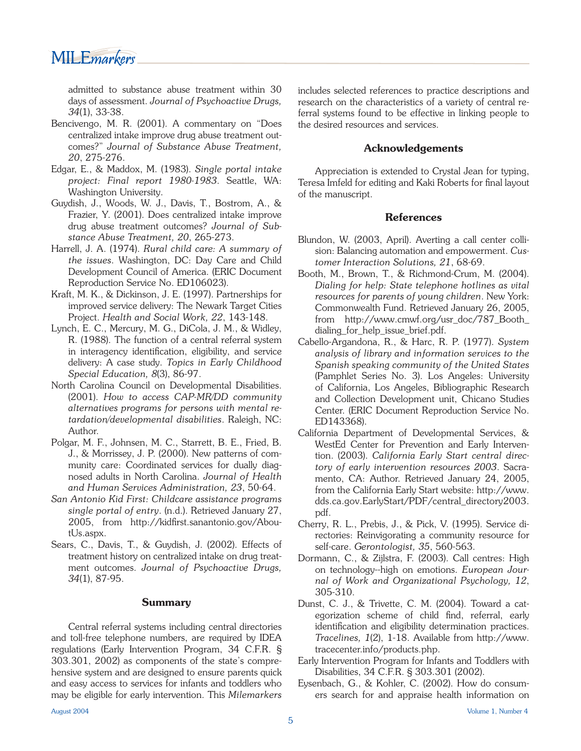MILE*markers* 

admitted to substance abuse treatment within 30 days of assessment. *Journal of Psychoactive Drugs, 34*(1), 33-38.

- Bencivengo, M. R. (2001). A commentary on "Does centralized intake improve drug abuse treatment outcomes?" *Journal of Substance Abuse Treatment, 20*, 275-276.
- Edgar, E., & Maddox, M. (1983). *Single portal intake project: Final report 1980-1983*. Seattle, WA: Washington University.
- Guydish, J., Woods, W. J., Davis, T., Bostrom, A., & Frazier, Y. (2001). Does centralized intake improve drug abuse treatment outcomes? *Journal of Substance Abuse Treatment, 20*, 265-273.
- Harrell, J. A. (1974). *Rural child care: A summary of the issues*. Washington, DC: Day Care and Child Development Council of America. (ERIC Document Reproduction Service No. ED106023).
- Kraft, M. K., & Dickinson, J. E. (1997). Partnerships for improved service delivery: The Newark Target Cities Project. *Health and Social Work, 22*, 143-148.
- Lynch, E. C., Mercury, M. G., DiCola, J. M., & Widley, R. (1988). The function of a central referral system in interagency identification, eligibility, and service delivery: A case study. *Topics in Early Childhood Special Education, 8*(3), 86-97.
- North Carolina Council on Developmental Disabilities. (2001). *How to access CAP-MR/DD community alternatives programs for persons with mental retardation/developmental disabilities*. Raleigh, NC: Author.
- Polgar, M. F., Johnsen, M. C., Starrett, B. E., Fried, B. J., & Morrissey, J. P. (2000). New patterns of community care: Coordinated services for dually diagnosed adults in North Carolina. *Journal of Health and Human Services Administration, 23*, 50-64.
- *San Antonio Kid First: Childcare assistance programs single portal of entry*. (n.d.). Retrieved January 27,  $2005$ , from http://kidfirst.sanantonio.gov/AboutUs.aspx.
- Sears, C., Davis, T., & Guydish, J. (2002). Effects of treatment history on centralized intake on drug treatment outcomes. *Journal of Psychoactive Drugs, 34*(1), 87-95.

#### **Summary**

 Central referral systems including central directories and toll-free telephone numbers, are required by IDEA regulations (Early Intervention Program, 34 C.F.R. § 303.301, 2002) as components of the state's comprehensive system and are designed to ensure parents quick and easy access to services for infants and toddlers who may be eligible for early intervention. This *Milemarkers* includes selected references to practice descriptions and research on the characteristics of a variety of central referral systems found to be effective in linking people to the desired resources and services.

#### **Acknowledgements**

 Appreciation is extended to Crystal Jean for typing, Teresa Imfeld for editing and Kaki Roberts for final layout of the manuscript.

#### **References**

- Blundon, W. (2003, April). Averting a call center collision: Balancing automation and empowerment. *Customer Interaction Solutions, 21*, 68-69.
- Booth, M., Brown, T., & Richmond-Crum, M. (2004). *Dialing for help: State telephone hotlines as vital resources for parents of young children*. New York: Commonwealth Fund. Retrieved January 26, 2005, from http://www.cmwf.org/usr\_doc/787\_Booth\_ dialing\_for\_help\_issue\_brief.pdf.
- Cabello-Argandona, R., & Harc, R. P. (1977). *System analysis of library and information services to the Spanish speaking community of the United States*  (Pamphlet Series No. 3). Los Angeles: University of California, Los Angeles, Bibliographic Research and Collection Development unit, Chicano Studies Center. (ERIC Document Reproduction Service No. ED143368).
- California Department of Developmental Services, & WestEd Center for Prevention and Early Intervention. (2003). *California Early Start central directory of early intervention resources 2003*. Sacramento, CA: Author. Retrieved January 24, 2005, from the California Early Start website: http://www. dds.ca.gov.EarlyStart/PDF/central\_directory2003. pdf.
- Cherry, R. L., Prebis, J., & Pick, V. (1995). Service directories: Reinvigorating a community resource for self-care. *Gerontologist, 35*, 560-563.
- Dormann, C., & Zijlstra, F. (2003). Call centres: High on technology--high on emotions. *European Journal of Work and Organizational Psychology, 12*, 305-310.
- Dunst, C. J., & Trivette, C. M. (2004). Toward a categorization scheme of child find, referral, early identification and eligibility determination practices. *Tracelines, 1*(2), 1-18. Available from http://www. tracecenter.info/products.php.
- Early Intervention Program for Infants and Toddlers with Disabilities, 34 C.F.R. § 303.301 (2002).
- Eysenbach, G., & Kohler, C. (2002). How do consumers search for and appraise health information on